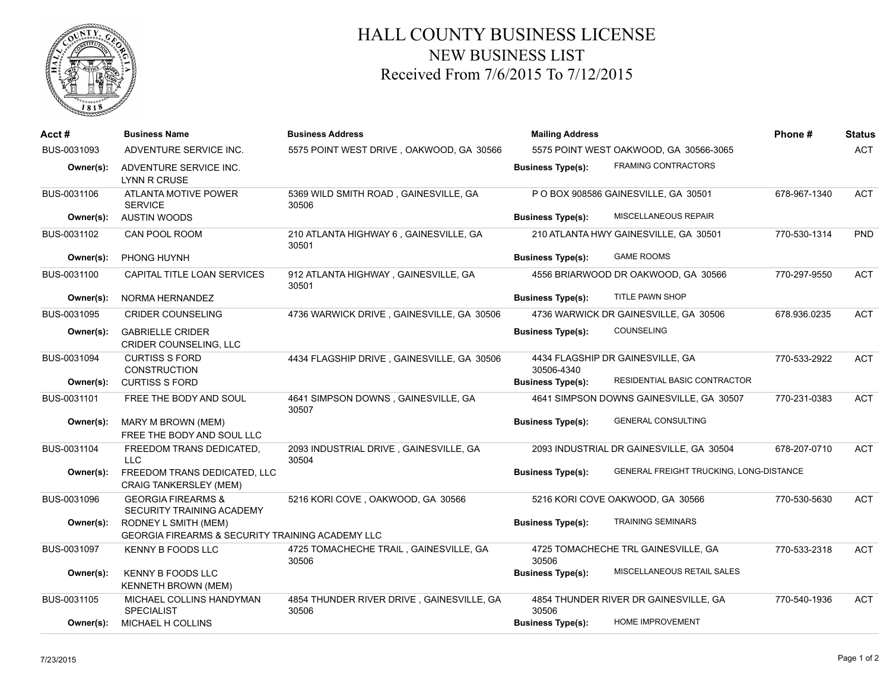

## HALL COUNTY BUSINESS LICENSE NEW BUSINESS LIST Received From 7/6/2015 To 7/12/2015

| Acct#       | <b>Business Name</b>                                                     | <b>Business Address</b>                            | <b>Mailing Address</b>   |                                                | Phone#       | <b>Status</b> |
|-------------|--------------------------------------------------------------------------|----------------------------------------------------|--------------------------|------------------------------------------------|--------------|---------------|
| BUS-0031093 | ADVENTURE SERVICE INC.                                                   | 5575 POINT WEST DRIVE, OAKWOOD, GA 30566           |                          | 5575 POINT WEST OAKWOOD, GA 30566-3065         |              | <b>ACT</b>    |
| Owner(s):   | ADVENTURE SERVICE INC.<br>LYNN R CRUSE                                   |                                                    | <b>Business Type(s):</b> | <b>FRAMING CONTRACTORS</b>                     |              |               |
| BUS-0031106 | ATLANTA MOTIVE POWER<br><b>SERVICE</b>                                   | 5369 WILD SMITH ROAD, GAINESVILLE, GA<br>30506     |                          | PO BOX 908586 GAINESVILLE, GA 30501            | 678-967-1340 | <b>ACT</b>    |
| Owner(s):   | <b>AUSTIN WOODS</b>                                                      |                                                    | <b>Business Type(s):</b> | MISCELLANEOUS REPAIR                           |              |               |
| BUS-0031102 | CAN POOL ROOM                                                            | 210 ATLANTA HIGHWAY 6, GAINESVILLE, GA<br>30501    |                          | 210 ATLANTA HWY GAINESVILLE, GA 30501          | 770-530-1314 | <b>PND</b>    |
| Owner(s):   | PHONG HUYNH                                                              |                                                    | <b>Business Type(s):</b> | <b>GAME ROOMS</b>                              |              |               |
| BUS-0031100 | CAPITAL TITLE LOAN SERVICES                                              | 912 ATLANTA HIGHWAY, GAINESVILLE, GA<br>30501      |                          | 4556 BRIARWOOD DR OAKWOOD, GA 30566            | 770-297-9550 | <b>ACT</b>    |
| Owner(s):   | NORMA HERNANDEZ                                                          |                                                    | <b>Business Type(s):</b> | TITLE PAWN SHOP                                |              |               |
| BUS-0031095 | <b>CRIDER COUNSELING</b>                                                 | 4736 WARWICK DRIVE, GAINESVILLE, GA 30506          |                          | 4736 WARWICK DR GAINESVILLE, GA 30506          | 678.936.0235 | <b>ACT</b>    |
| Owner(s):   | <b>GABRIELLE CRIDER</b><br><b>CRIDER COUNSELING, LLC</b>                 |                                                    | <b>Business Type(s):</b> | COUNSELING                                     |              |               |
| BUS-0031094 | <b>CURTISS S FORD</b><br><b>CONSTRUCTION</b>                             | 4434 FLAGSHIP DRIVE, GAINESVILLE, GA 30506         | 30506-4340               | 4434 FLAGSHIP DR GAINESVILLE, GA               | 770-533-2922 | <b>ACT</b>    |
| Owner(s):   | <b>CURTISS S FORD</b>                                                    |                                                    | <b>Business Type(s):</b> | RESIDENTIAL BASIC CONTRACTOR                   |              |               |
| BUS-0031101 | FREE THE BODY AND SOUL                                                   | 4641 SIMPSON DOWNS, GAINESVILLE, GA<br>30507       |                          | 4641 SIMPSON DOWNS GAINESVILLE, GA 30507       | 770-231-0383 | <b>ACT</b>    |
| Owner(s):   | MARY M BROWN (MEM)<br>FREE THE BODY AND SOUL LLC                         |                                                    | <b>Business Type(s):</b> | <b>GENERAL CONSULTING</b>                      |              |               |
| BUS-0031104 | FREEDOM TRANS DEDICATED.<br><b>LLC</b>                                   | 2093 INDUSTRIAL DRIVE, GAINESVILLE, GA<br>30504    |                          | 2093 INDUSTRIAL DR GAINESVILLE, GA 30504       | 678-207-0710 | <b>ACT</b>    |
| Owner(s):   | FREEDOM TRANS DEDICATED, LLC<br><b>CRAIG TANKERSLEY (MEM)</b>            |                                                    | <b>Business Type(s):</b> | <b>GENERAL FREIGHT TRUCKING, LONG-DISTANCE</b> |              |               |
| BUS-0031096 | <b>GEORGIA FIREARMS &amp;</b><br>SECURITY TRAINING ACADEMY               | 5216 KORI COVE, OAKWOOD, GA 30566                  |                          | 5216 KORI COVE OAKWOOD, GA 30566               | 770-530-5630 | <b>ACT</b>    |
| Owner(s):   | RODNEY L SMITH (MEM)<br>GEORGIA FIREARMS & SECURITY TRAINING ACADEMY LLC |                                                    | <b>Business Type(s):</b> | <b>TRAINING SEMINARS</b>                       |              |               |
| BUS-0031097 | <b>KENNY B FOODS LLC</b>                                                 | 4725 TOMACHECHE TRAIL, GAINESVILLE, GA<br>30506    | 30506                    | 4725 TOMACHECHE TRL GAINESVILLE, GA            | 770-533-2318 | <b>ACT</b>    |
| Owner(s):   | <b>KENNY B FOODS LLC</b><br><b>KENNETH BROWN (MEM)</b>                   |                                                    | <b>Business Type(s):</b> | MISCELLANEOUS RETAIL SALES                     |              |               |
| BUS-0031105 | MICHAEL COLLINS HANDYMAN<br><b>SPECIALIST</b>                            | 4854 THUNDER RIVER DRIVE, GAINESVILLE, GA<br>30506 | 30506                    | 4854 THUNDER RIVER DR GAINESVILLE, GA          | 770-540-1936 | <b>ACT</b>    |
| Owner(s):   | <b>MICHAEL H COLLINS</b>                                                 |                                                    | <b>Business Type(s):</b> | HOME IMPROVEMENT                               |              |               |
|             |                                                                          |                                                    |                          |                                                |              |               |